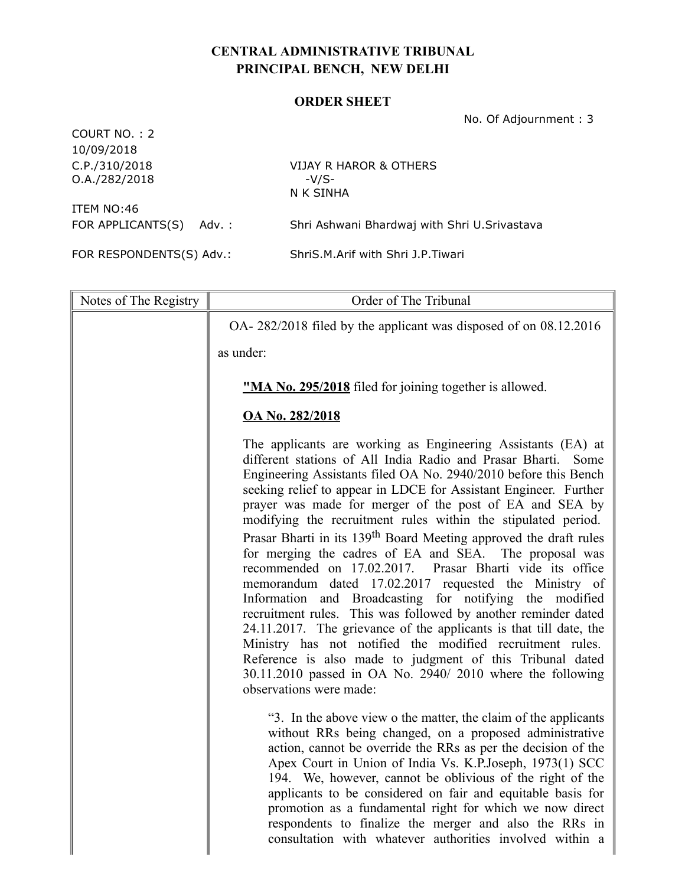## CENTRAL ADMINISTRATIVE TRIBUNAL PRINCIPAL BENCH, NEW DELHI

## ORDER SHEET

 $COMIPT NQ \cdot 2$ 

No. Of Adjournment : 3

| LUURI IIU. . Z<br>10/09/2018   |                                                                                                                                                                                             |      |  |
|--------------------------------|---------------------------------------------------------------------------------------------------------------------------------------------------------------------------------------------|------|--|
| C.P./310/2018<br>O.A./282/2018 | <b>VIJAY R HAROR &amp; OTHERS</b><br>$-V/S-$                                                                                                                                                |      |  |
| ITEM NO:46                     | N K SINHA                                                                                                                                                                                   |      |  |
| FOR APPLICANTS(S)              | Shri Ashwani Bhardwaj with Shri U.Srivastava<br>Adv. :                                                                                                                                      |      |  |
| FOR RESPONDENTS(S) Adv.:       | ShriS.M.Arif with Shri J.P.Tiwari                                                                                                                                                           |      |  |
|                                |                                                                                                                                                                                             |      |  |
| Notes of The Registry          | Order of The Tribunal                                                                                                                                                                       |      |  |
|                                | OA- $282/2018$ filed by the applicant was disposed of on 08.12.2016                                                                                                                         |      |  |
|                                | as under:                                                                                                                                                                                   |      |  |
|                                | <b>"MA No. 295/2018</b> filed for joining together is allowed.                                                                                                                              |      |  |
| <b>OA No. 282/2018</b>         |                                                                                                                                                                                             |      |  |
|                                | The applicants are working as Engineering Assistants (EA) at<br>different stations of All India Radio and Prasar Bharti.<br>Engineering Assistants filed OA No. 2940/2010 before this Bench | Some |  |

Engineering Assistants filed OA No. 2940/2010 before this Bench seeking relief to appear in LDCE for Assistant Engineer. Further prayer was made for merger of the post of EA and SEA by modifying the recruitment rules within the stipulated period. Prasar Bharti in its 139th Board Meeting approved the draft rules for merging the cadres of EA and SEA. The proposal was recommended on 17.02.2017. Prasar Bharti vide its office memorandum dated 17.02.2017 requested the Ministry of Information and Broadcasting for notifying the modified recruitment rules. This was followed by another reminder dated 24.11.2017. The grievance of the applicants is that till date, the Ministry has not notified the modified recruitment rules. Reference is also made to judgment of this Tribunal dated 30.11.2010 passed in OA No. 2940/ 2010 where the following observations were made:

"3. In the above view o the matter, the claim of the applicants without RRs being changed, on a proposed administrative action, cannot be override the RRs as per the decision of the Apex Court in Union of India Vs. K.P.Joseph, 1973(1) SCC 194. We, however, cannot be oblivious of the right of the applicants to be considered on fair and equitable basis for promotion as a fundamental right for which we now direct respondents to finalize the merger and also the RRs in consultation with whatever authorities involved within a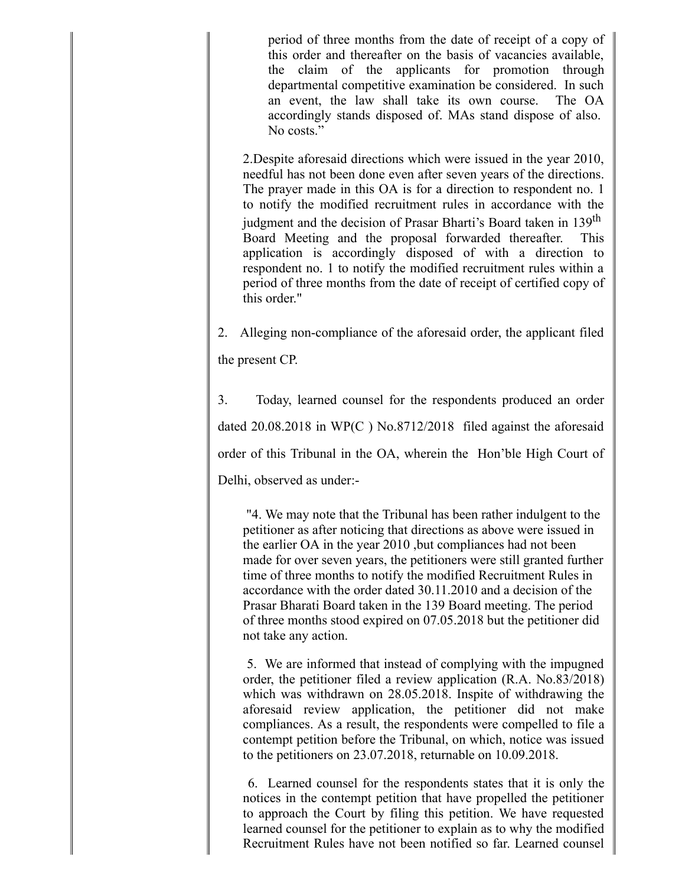period of three months from the date of receipt of a copy of this order and thereafter on the basis of vacancies available, the claim of the applicants for promotion through departmental competitive examination be considered. In such an event, the law shall take its own course. The OA accordingly stands disposed of. MAs stand dispose of also. No costs."

2.Despite aforesaid directions which were issued in the year 2010, needful has not been done even after seven years of the directions. The prayer made in this OA is for a direction to respondent no. 1 to notify the modified recruitment rules in accordance with the judgment and the decision of Prasar Bharti's Board taken in 139<sup>th</sup> Board Meeting and the proposal forwarded thereafter. This application is accordingly disposed of with a direction to respondent no. 1 to notify the modified recruitment rules within a period of three months from the date of receipt of certified copy of this order."

2. Alleging non-compliance of the aforesaid order, the applicant filed the present CP.

3. Today, learned counsel for the respondents produced an order dated 20.08.2018 in WP(C ) No.8712/2018 filed against the aforesaid order of this Tribunal in the OA, wherein the Hon'ble High Court of Delhi, observed as under:-

 "4. We may note that the Tribunal has been rather indulgent to the petitioner as after noticing that directions as above were issued in the earlier OA in the year 2010 ,but compliances had not been made for over seven years, the petitioners were still granted further time of three months to notify the modified Recruitment Rules in accordance with the order dated 30.11.2010 and a decision of the Prasar Bharati Board taken in the 139 Board meeting. The period of three months stood expired on 07.05.2018 but the petitioner did not take any action.

5. We are informed that instead of complying with the impugned order, the petitioner filed a review application (R.A. No.83/2018) which was withdrawn on 28.05.2018. Inspite of withdrawing the aforesaid review application, the petitioner did not make compliances. As a result, the respondents were compelled to file a contempt petition before the Tribunal, on which, notice was issued to the petitioners on 23.07.2018, returnable on 10.09.2018.

6. Learned counsel for the respondents states that it is only the notices in the contempt petition that have propelled the petitioner to approach the Court by filing this petition. We have requested learned counsel for the petitioner to explain as to why the modified Recruitment Rules have not been notified so far. Learned counsel